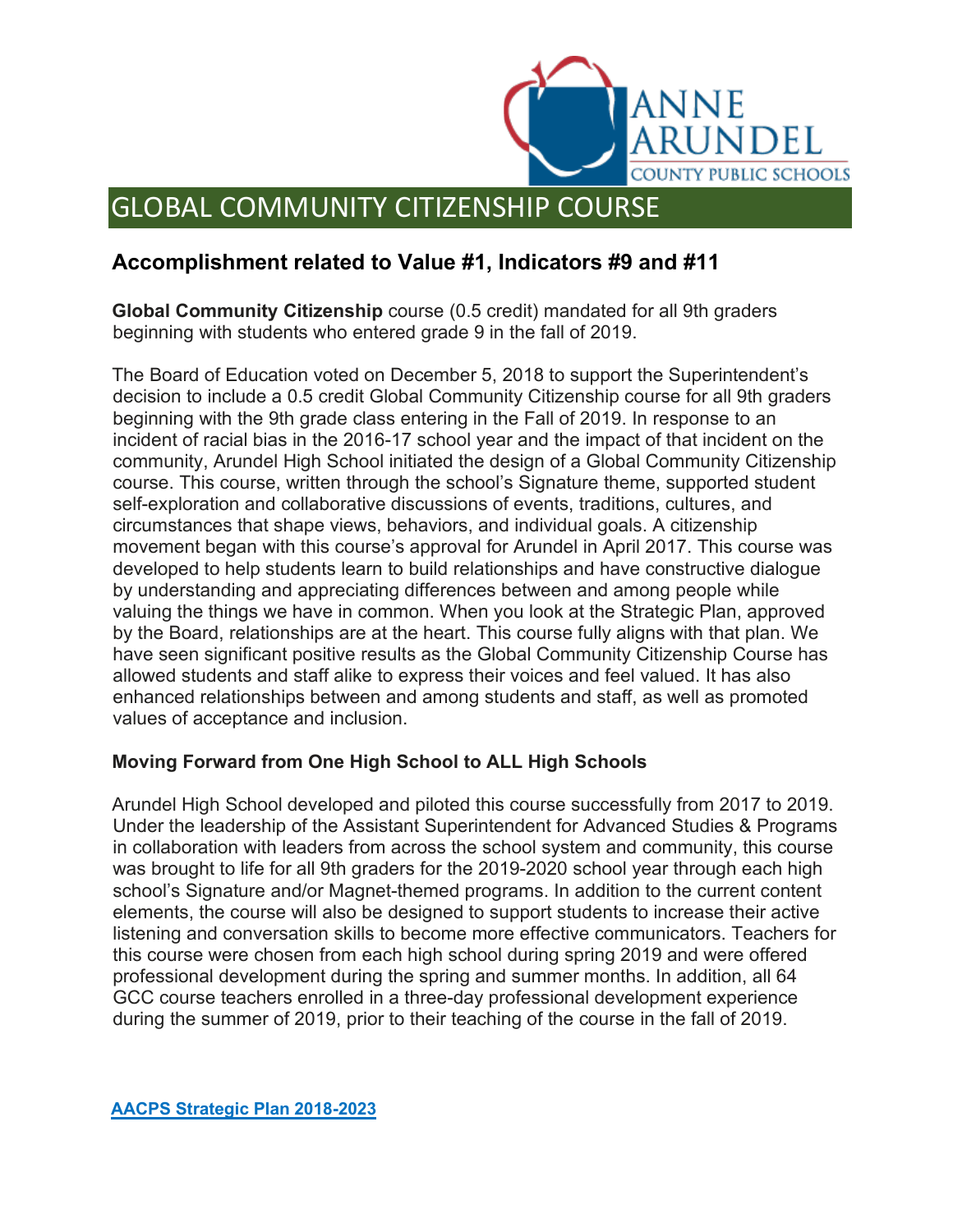

## GLOBAL COMMUNITY CITIZENSHIP COURSE

## **Accomplishment related to Value #1, Indicators #9 and #11**

**Global Community Citizenship** course (0.5 credit) mandated for all 9th graders beginning with students who entered grade 9 in the fall of 2019.

The Board of Education voted on December 5, 2018 to support the Superintendent's decision to include a 0.5 credit Global Community Citizenship course for all 9th graders beginning with the 9th grade class entering in the Fall of 2019. In response to an incident of racial bias in the 2016-17 school year and the impact of that incident on the community, Arundel High School initiated the design of a Global Community Citizenship course. This course, written through the school's Signature theme, supported student self-exploration and collaborative discussions of events, traditions, cultures, and circumstances that shape views, behaviors, and individual goals. A citizenship movement began with this course's approval for Arundel in April 2017. This course was developed to help students learn to build relationships and have constructive dialogue by understanding and appreciating differences between and among people while valuing the things we have in common. When you look at the Strategic Plan, approved by the Board, relationships are at the heart. This course fully aligns with that plan. We have seen significant positive results as the Global Community Citizenship Course has allowed students and staff alike to express their voices and feel valued. It has also enhanced relationships between and among students and staff, as well as promoted values of acceptance and inclusion.

## **Moving Forward from One High School to ALL High Schools**

Arundel High School developed and piloted this course successfully from 2017 to 2019. Under the leadership of the Assistant Superintendent for Advanced Studies & Programs in collaboration with leaders from across the school system and community, this course was brought to life for all 9th graders for the 2019-2020 school year through each high school's Signature and/or Magnet-themed programs. In addition to the current content elements, the course will also be designed to support students to increase their active listening and conversation skills to become more effective communicators. Teachers for this course were chosen from each high school during spring 2019 and were offered professional development during the spring and summer months. In addition, all 64 GCC course teachers enrolled in a three-day professional development experience during the summer of 2019, prior to their teaching of the course in the fall of 2019.